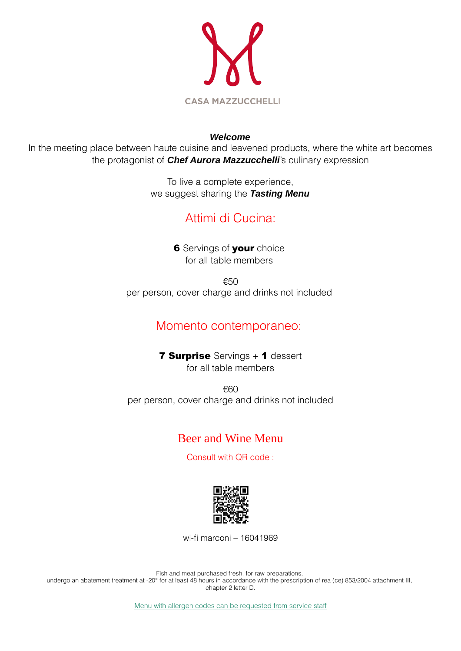

#### *Welcome*

In the meeting place between haute cuisine and leavened products, where the white art becomes the protagonist of *Chef Aurora Mazzucchelli*'s culinary expression

> To live a complete experience, we suggest sharing the *Tasting Menu*

## Attimi di Cucina:

**6** Servings of your choice for all table members

€50 per person, cover charge and drinks not included

## Momento contemporaneo:

**7 Surprise** Servings + 1 dessert for all table members

€60 per person, cover charge and drinks not included

## Beer and Wine Menu

Consult with QR code :



wi-fi marconi – 16041969

Fish and meat purchased fresh, for raw preparations, undergo an abatement treatment at -20° for at least 48 hours in accordance with the prescription of rea (ce) 853/2004 attachment III, chapter 2 letter D.

Menu with allergen codes can be requested from service staff